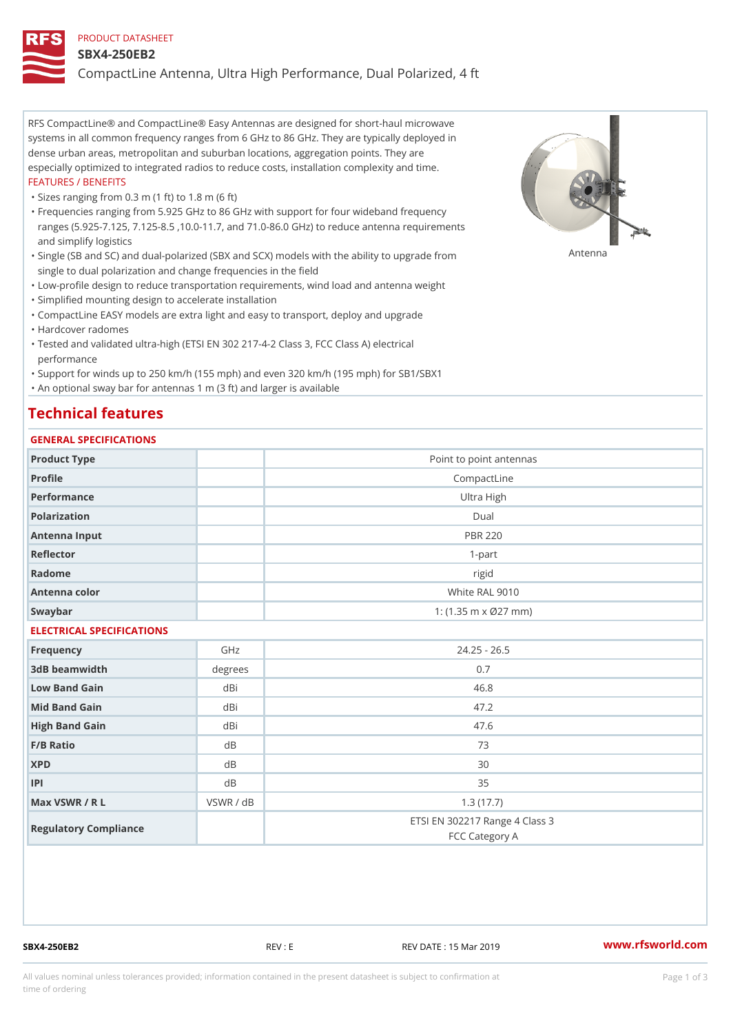#### PRODUCT DATASHEET

#### SBX4-250EB2

CompactLine Antenna, Ultra High Performance, Dual Polarized, 4 ft

RFS CompactLine® and CompactLine® Easy Antennas are designed for short-haul microwave systems in all common frequency ranges from 6 GHz to 86 GHz. They are typically deployed in dense urban areas, metropolitan and suburban locations, aggregation points. They are especially optimized to integrated radios to reduce costs, installation complexity and time. FEATURES / BENEFITS

"Sizes ranging from 0.3 m (1 ft) to 1.8 m (6 ft)

Frequencies ranging from 5.925 GHz to 86 GHz with support for four wideband frequency " ranges (5.925-7.125, 7.125-8.5 ,10.0-11.7, and 71.0-86.0 GHz) to reduce antenna requirements and simplify logistics

"Single (SB and SC) and dual-polarized (SBX and SCX) models with the abili $\mathsf{f}_\mathsf{V}^{\eta}$ ttenup $\beta$ grade from single to dual polarization and change frequencies in the field

"Low-profile design to reduce transportation requirements, wind load and antenna weight

"Simplified mounting design to accelerate installation

 "CompactLine EASY models are extra light and easy to transport, deploy and upgrade "Hardcover radomes

Tested and validated ultra-high (ETSI EN 302 217-4-2 Class 3, FCC Class A) electrical " performance

 "Support for winds up to 250 km/h (155 mph) and even 320 km/h (195 mph) for SB1/SBX1 "An optional sway bar for antennas 1 m (3 ft) and larger is available

### Technical features

### GENERAL SPECIFICATIONS

| OLIVERAL OF LOTITOATIONS  |           |                                                  |  |  |
|---------------------------|-----------|--------------------------------------------------|--|--|
| Product Type              |           | Point to point antennas                          |  |  |
| Profile                   |           | CompactLine                                      |  |  |
| Performance               |           | Ultra High                                       |  |  |
| Polarization              |           | $D$ ual                                          |  |  |
| Antenna Input             |           | <b>PBR 220</b>                                   |  |  |
| Reflector                 |           | $1 - p$ art                                      |  |  |
| Radome                    |           | rigid                                            |  |  |
| Antenna color             |           | White RAL 9010                                   |  |  |
| Swaybar                   |           | 1: $(1.35 \, m \times 027 \, mm)$                |  |  |
| ELECTRICAL SPECIFICATIONS |           |                                                  |  |  |
| Frequency                 | GHz       | $24.25 - 26.5$                                   |  |  |
| 3dB beamwidth             | degrees   | 0.7                                              |  |  |
| Low Band Gain             | dBi       | 46.8                                             |  |  |
| Mid Band Gain             | dBi       | 47.2                                             |  |  |
| High Band Gain            | dBi       | 47.6                                             |  |  |
| F/B Ratio                 | d B       | 73                                               |  |  |
| <b>XPD</b>                | d B       | 30                                               |  |  |
| P                         | d B       | 35                                               |  |  |
| Max VSWR / R L            | VSWR / dB | 1.3(17.7)                                        |  |  |
| Regulatory Compliance     |           | ETSI EN 302217 Range 4 Class 3<br>FCC Category A |  |  |

SBX4-250EB2 REV : E REV DATE : 15 Mar 2019 [www.](https://www.rfsworld.com)rfsworld.com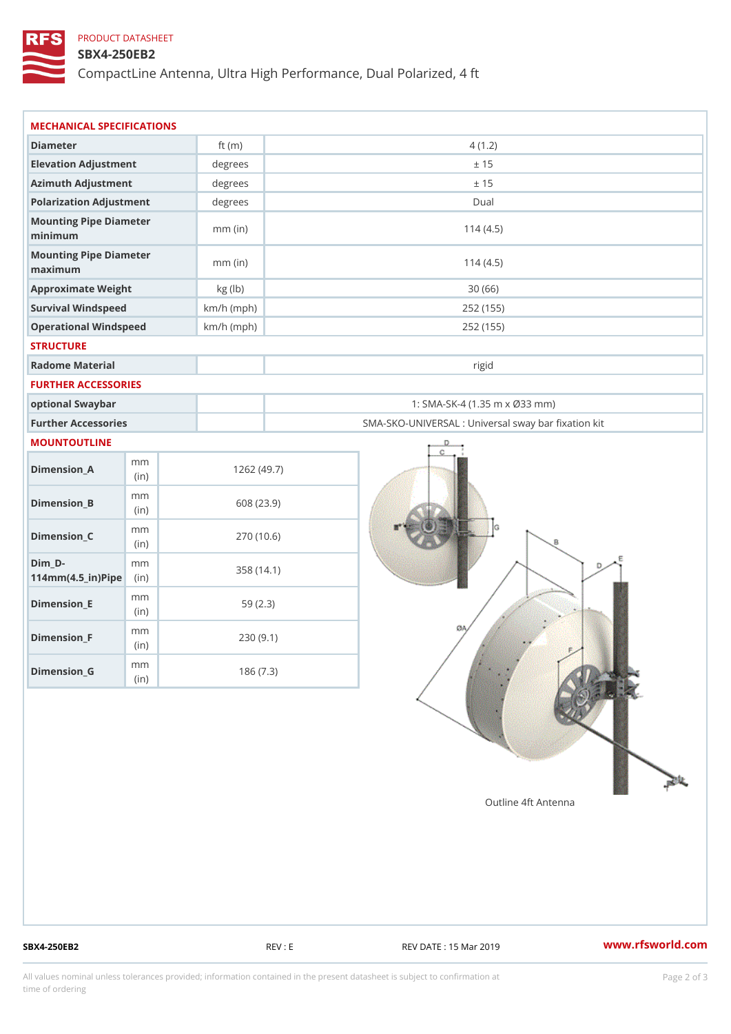## PRODUCT DATASHEET

## SBX4-250EB2

CompactLine Antenna, Ultra High Performance, Dual Polarized, 4 ft

| MECHANICAL SPECIFICATIONS                                  |              |                                                   |
|------------------------------------------------------------|--------------|---------------------------------------------------|
| Diameter                                                   | ft $(m)$     | 4(1.2)                                            |
| Elevation Adjustment                                       | degrees      | ± 15                                              |
| Azimuth Adjustment                                         | degrees      | ± 15                                              |
| Polarization Adjustment                                    | $degree$ :   | Dual                                              |
| Mounting Pipe Diameter<br>minimum                          | $mm$ (in)    | 114(4.5)                                          |
| Mounting Pipe Diameter<br>maximum                          | $mm$ (in)    | 114(4.5)                                          |
| Approximate Weight                                         | kg (lb)      | 30(66)                                            |
| Survival Windspeed                                         | $km/h$ (mph) | 252 (155)                                         |
| Operational Windspeed                                      | $km/h$ (mph) | 252 (155)                                         |
| <b>STRUCTURE</b>                                           |              |                                                   |
| Radome Material                                            |              | rigid                                             |
| FURTHER ACCESSORIES                                        |              |                                                   |
| optional Swaybar                                           |              | 1: SMA-SK-4 (1.35 m x Ø33 mm)                     |
| Further Accessories                                        |              | SMA-SKO-UNIVERSAL : Universal sway bar fixation l |
| MOUNTOUTLINE                                               |              |                                                   |
| m m<br>$Dimension_A$<br>(in)                               |              | 1262(49.7)                                        |
| m m<br>$Dimension_B$<br>(in)                               |              | 608 (23.9)                                        |
| m m<br>$Dimension_C$<br>(i n)                              |              | 270 (10.6)                                        |
| $Dim_D -$<br>m m<br>$114$ m m $(4.5$ _ ir $)$ $R$ ii p $e$ |              | 358 (14.1)                                        |
| m m<br>$Dimension$ = E<br>(i n)                            |              | 59(2.3)                                           |
| m m<br>$Dimension_F$<br>(in)                               |              | 230(9.1)                                          |
| m m<br>$D$ imension $_G$                                   |              | 186(7.3)                                          |

SBX4-250EB2 REV : E REV : REV DATE : 15 Mar 2019 WWW.rfsworld.com